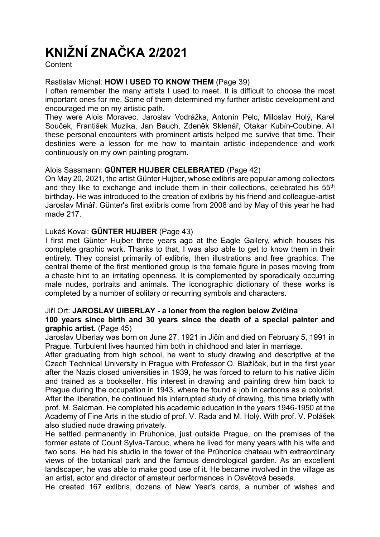# KNIŽNÍ ZNAČKA 2/2021

**Content** 

#### Rastislav Michal: HOW I USED TO KNOW THEM (Page 39)

I often remember the many artists I used to meet. It is difficult to choose the most important ones for me. Some of them determined my further artistic development and encouraged me on my artistic path.

They were Alois Moravec, Jaroslav Vodrážka, Antonín Pelc, Miloslav Holý, Karel Souček, František Muzika, Jan Bauch, Zdeněk Sklenář, Otakar Kubín-Coubine. All these personal encounters with prominent artists helped me survive that time. Their destinies were a lesson for me how to maintain artistic independence and work continuously on my own painting program.

# Alois Sassmann: GÜNTER HUJBER CELEBRATED (Page 42)

On May 20, 2021, the artist Günter Hujber, whose exlibris are popular among collectors and they like to exchange and include them in their collections, celebrated his 55<sup>th</sup> birthday. He was introduced to the creation of exlibris by his friend and colleague-artist Jaroslav Minář. Günter's first exlibris come from 2008 and by May of this year he had made 217.

# Lukáš Koval: GÜNTER HUJBER (Page 43)

I first met Günter Hujber three years ago at the Eagle Gallery, which houses his complete graphic work. Thanks to that, I was also able to get to know them in their entirety. They consist primarily of exlibris, then illustrations and free graphics. The central theme of the first mentioned group is the female figure in poses moving from a chaste hint to an irritating openness. It is complemented by sporadically occurring male nudes, portraits and animals. The iconographic dictionary of these works is completed by a number of solitary or recurring symbols and characters.

#### Jiří Ort: JAROSLAV UIBERLAY - a loner from the region below Zvičina 100 years since birth and 30 years since the death of a special painter and

#### graphic artist. (Page 45)

Jaroslav Uiberlay was born on June 27, 1921 in Jičín and died on February 5, 1991 in Prague. Turbulent lives haunted him both in childhood and later in marriage.

After graduating from high school, he went to study drawing and descriptive at the Czech Technical University in Prague with Professor O. Blažíček, but in the first year after the Nazis closed universities in 1939, he was forced to return to his native Jičín and trained as a bookseller. His interest in drawing and painting drew him back to Prague during the occupation in 1943, where he found a job in cartoons as a colorist. After the liberation, he continued his interrupted study of drawing, this time briefly with prof. M. Salcman. He completed his academic education in the years 1946-1950 at the Academy of Fine Arts in the studio of prof. V. Rada and M. Holý. With prof. V. Polášek also studied nude drawing privately.

He settled permanently in Průhonice, just outside Prague, on the premises of the former estate of Count Sylva-Tarouc, where he lived for many years with his wife and two sons. He had his studio in the tower of the Průhonice chateau with extraordinary views of the botanical park and the famous dendrological garden. As an excellent landscaper, he was able to make good use of it. He became involved in the village as an artist, actor and director of amateur performances in Osvětová beseda.

He created 167 exlibris, dozens of New Year's cards, a number of wishes and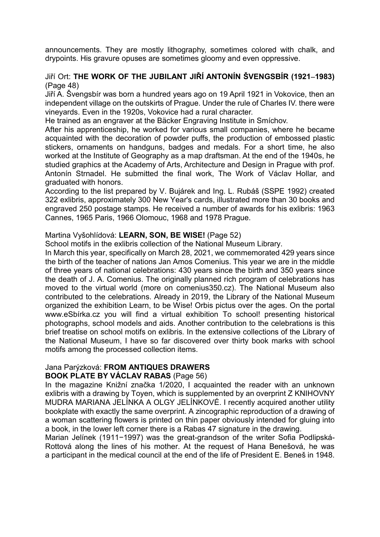announcements. They are mostly lithography, sometimes colored with chalk, and drypoints. His gravure opuses are sometimes gloomy and even oppressive.

# Jiří Ort: THE WORK OF THE JUBILANT JIŘÍ ANTONÍN ŠVENGSBÍR (1921–1983) (Page 48)

Jiří A. Švengsbír was born a hundred years ago on 19 April 1921 in Vokovice, then an independent village on the outskirts of Prague. Under the rule of Charles IV. there were vineyards. Even in the 1920s, Vokovice had a rural character.

He trained as an engraver at the Bäcker Engraving Institute in Smíchov.

After his apprenticeship, he worked for various small companies, where he became acquainted with the decoration of powder puffs, the production of embossed plastic stickers, ornaments on handguns, badges and medals. For a short time, he also worked at the Institute of Geography as a map draftsman. At the end of the 1940s, he studied graphics at the Academy of Arts, Architecture and Design in Prague with prof. Antonín Strnadel. He submitted the final work, The Work of Václav Hollar, and graduated with honors.

According to the list prepared by V. Bujárek and Ing. L. Rubáš (SSPE 1992) created 322 exlibris, approximately 300 New Year's cards, illustrated more than 30 books and engraved 250 postage stamps. He received a number of awards for his exlibris: 1963 Cannes, 1965 Paris, 1966 Olomouc, 1968 and 1978 Prague.

#### Martina Vyšohlídová: LEARN, SON, BE WISE! (Page 52)

School motifs in the exlibris collection of the National Museum Library.

In March this year, specifically on March 28, 2021, we commemorated 429 years since the birth of the teacher of nations Jan Amos Comenius. This year we are in the middle of three years of national celebrations: 430 years since the birth and 350 years since the death of J. A. Comenius. The originally planned rich program of celebrations has moved to the virtual world (more on comenius350.cz). The National Museum also contributed to the celebrations. Already in 2019, the Library of the National Museum organized the exhibition Learn, to be Wise! Orbis pictus over the ages. On the portal www.eSbírka.cz you will find a virtual exhibition To school! presenting historical photographs, school models and aids. Another contribution to the celebrations is this brief treatise on school motifs on exlibris. In the extensive collections of the Library of the National Museum, I have so far discovered over thirty book marks with school motifs among the processed collection items.

# Jana Parýzková: FROM ANTIQUES DRAWERS

#### BOOK PLATE BY VÁCLAV RABAS (Page 56)

In the magazine Knižní značka 1/2020, I acquainted the reader with an unknown exlibris with a drawing by Toyen, which is supplemented by an overprint Z KNIHOVNY MUDRA MARIANA JELÍNKA A OLGY JELÍNKOVÉ. I recently acquired another utility bookplate with exactly the same overprint. A zincographic reproduction of a drawing of a woman scattering flowers is printed on thin paper obviously intended for gluing into a book, in the lower left corner there is a Rabas 47 signature in the drawing.

Marian Jelínek (1911−1997) was the great-grandson of the writer Sofia Podlipská-Rottová along the lines of his mother. At the request of Hana Benešová, he was a participant in the medical council at the end of the life of President E. Beneš in 1948.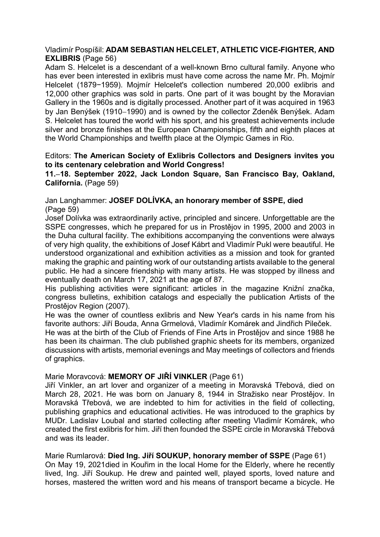#### Vladimír Pospíšil: ADAM SEBASTIAN HELCELET, ATHLETIC VICE-FIGHTER, AND EXLIBRIS (Page 56)

Adam S. Helcelet is a descendant of a well-known Brno cultural family. Anyone who has ever been interested in exlibris must have come across the name Mr. Ph. Mojmír Helcelet (1879−1959). Mojmír Helcelet's collection numbered 20,000 exlibris and 12,000 other graphics was sold in parts. One part of it was bought by the Moravian Gallery in the 1960s and is digitally processed. Another part of it was acquired in 1963 by Jan Benýšek (1910–1990) and is owned by the collector Zdeněk Benýšek. Adam S. Helcelet has toured the world with his sport, and his greatest achievements include silver and bronze finishes at the European Championships, fifth and eighth places at the World Championships and twelfth place at the Olympic Games in Rio.

#### Editors: The American Society of Exlibris Collectors and Designers invites you to its centenary celebration and World Congress!

11.–18. September 2022, Jack London Square, San Francisco Bay, Oakland, California. (Page 59)

#### Jan Langhammer: JOSEF DOLÍVKA, an honorary member of SSPE, died (Page 59)

Josef Dolívka was extraordinarily active, principled and sincere. Unforgettable are the SSPE congresses, which he prepared for us in Prostějov in 1995, 2000 and 2003 in the Duha cultural facility. The exhibitions accompanying the conventions were always of very high quality, the exhibitions of Josef Kábrt and Vladimír Pukl were beautiful. He understood organizational and exhibition activities as a mission and took for granted making the graphic and painting work of our outstanding artists available to the general public. He had a sincere friendship with many artists. He was stopped by illness and eventually death on March 17, 2021 at the age of 87.

His publishing activities were significant: articles in the magazine Knižní značka, congress bulletins, exhibition catalogs and especially the publication Artists of the Prostějov Region (2007).

He was the owner of countless exlibris and New Year's cards in his name from his favorite authors: Jiří Bouda, Anna Grmelová, Vladimír Komárek and Jindřich Pileček.

He was at the birth of the Club of Friends of Fine Arts in Prostějov and since 1988 he has been its chairman. The club published graphic sheets for its members, organized discussions with artists, memorial evenings and May meetings of collectors and friends of graphics.

#### Marie Moravcová: MEMORY OF JIŘÍ VINKLER (Page 61)

Jiří Vinkler, an art lover and organizer of a meeting in Moravská Třebová, died on March 28, 2021. He was born on January 8, 1944 in Stražisko near Prostějov. In Moravská Třebová, we are indebted to him for activities in the field of collecting, publishing graphics and educational activities. He was introduced to the graphics by MUDr. Ladislav Loubal and started collecting after meeting Vladimír Komárek, who created the first exlibris for him. Jiří then founded the SSPE circle in Moravská Třebová and was its leader.

Marie Rumlarová: Died Ing. Jiří SOUKUP, honorary member of SSPE (Page 61) On May 19, 2021died in Kouřim in the local Home for the Elderly, where he recently lived, Ing. Jiří Soukup. He drew and painted well, played sports, loved nature and horses, mastered the written word and his means of transport became a bicycle. He